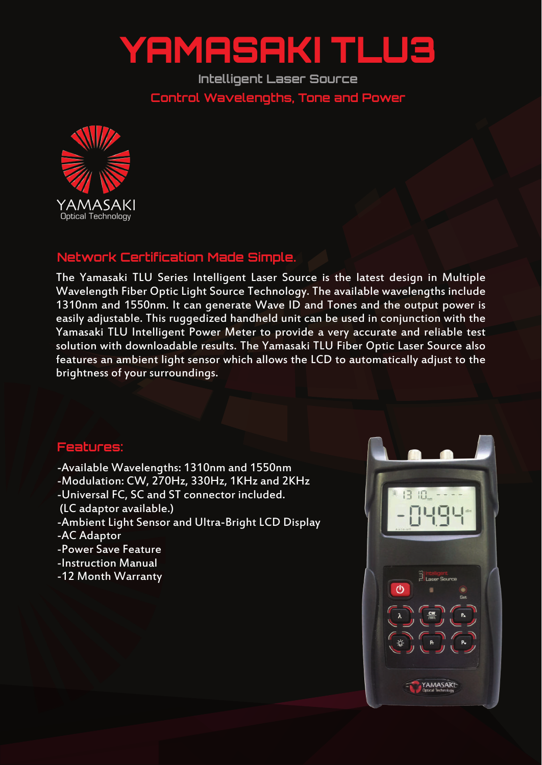## YAMASAKI TLU3

**Intelligent Laser Source Control Wavelengths, Tone and Power**



## **Network Certification Made Simple.**

The Yamasaki TLU Series Intelligent Laser Source is the latest design in Multiple Wavelength Fiber Optic Light Source Technology. The available wavelengths include 1310nm and 1550nm. It can generate Wave ID and Tones and the output power is easily adjustable. This ruggedized handheld unit can be used in conjunction with the Yamasaki TLU Intelligent Power Meter to provide a very accurate and reliable test solution with downloadable results. The Yamasaki TLU Fiber Optic Laser Source also features an ambient light sensor which allows the LCD to automatically adjust to the brightness of your surroundings.

## **Features:**

-Available Wavelengths: 1310nm and 1550nm -Modulation: CW, 270Hz, 330Hz, 1KHz and 2KHz -Universal FC, SC and ST connector included. (LC adaptor available.) -Ambient Light Sensor and Ultra-Bright LCD Display -AC Adaptor -Power Save Feature -Instruction Manual -12 Month Warranty